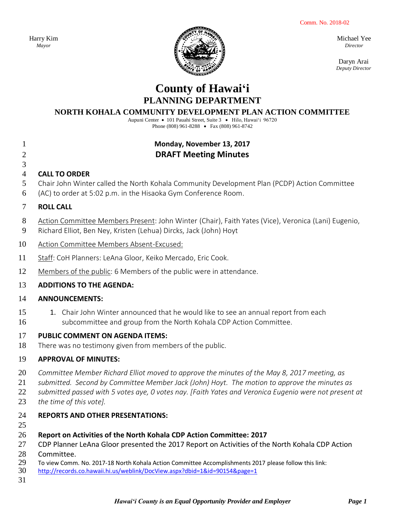Comm. No. 2018-02

Harry Kim *Mayor*



Michael Yee *Director*

Daryn Arai *Deputy Director*

# **County of Hawai'i PLANNING DEPARTMENT**

#### **NORTH KOHALA COMMUNITY DEVELOPMENT PLAN ACTION COMMITTEE**

Aupuni Center · 101 Pauahi Street, Suite 3 · Hilo, Hawai'i 96720 Phone (808) 961-8288 • Fax (808) 961-8742

# **Monday, November 13, 2017 DRAFT Meeting Minutes**

# 

# **CALL TO ORDER**

- Chair John Winter called the North Kohala Community Development Plan (PCDP) Action Committee
- (AC) to order at 5:02 p.m. in the Hisaoka Gym Conference Room.

#### **ROLL CALL**

- Action Committee Members Present: John Winter (Chair), Faith Yates (Vice), Veronica (Lani) Eugenio,
- Richard Elliot, Ben Ney, Kristen (Lehua) Dircks, Jack (John) Hoyt
- Action Committee Members Absent-Excused:
- 11 Staff: CoH Planners: LeAna Gloor, Keiko Mercado, Eric Cook.
- Members of the public: 6 Members of the public were in attendance.

# **ADDITIONS TO THE AGENDA:**

#### **ANNOUNCEMENTS:**

15 1. Chair John Winter announced that he would like to see an annual report from each subcommittee and group from the North Kohala CDP Action Committee.

#### **PUBLIC COMMENT ON AGENDA ITEMS:**

There was no testimony given from members of the public.

# **APPROVAL OF MINUTES:**

- *Committee Member Richard Elliot moved to approve the minutes of the May 8, 2017 meeting, as*
- *submitted. Second by Committee Member Jack (John) Hoyt. The motion to approve the minutes as*
- *submitted passed with 5 votes aye, 0 votes nay. [Faith Yates and Veronica Eugenio were not present at*
- *the time of this vote].*

# **REPORTS AND OTHER PRESENTATIONS:**

# **Report on Activities of the North Kohala CDP Action Committee: 2017**

- CDP Planner LeAna Gloor presented the 2017 Report on Activities of the North Kohala CDP Action
- 28 Committee.<br>29 To view Comm
- To view Comm. No. 2017-18 North Kohala Action Committee Accomplishments 2017 please follow this link:
- <http://records.co.hawaii.hi.us/weblink/DocView.aspx?dbid=1&id=90154&page=1>
-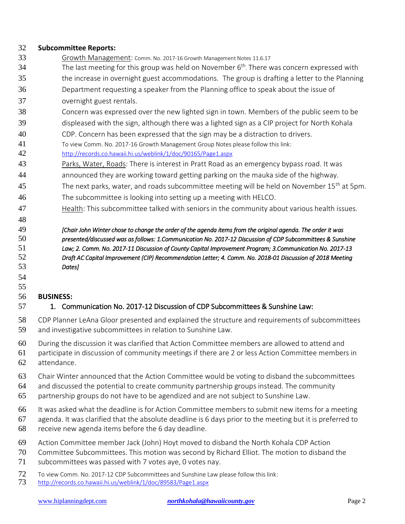#### **Subcommittee Reports:**

- Growth Management: Comm. No. 2017-16 Growth Management Notes 11.6.17
- The last meeting for this group was held on November  $6<sup>th</sup>$ . There was concern expressed with the increase in overnight guest accommodations. The group is drafting a letter to the Planning
- Department requesting a speaker from the Planning office to speak about the issue of overnight guest rentals.
- Concern was expressed over the new lighted sign in town. Members of the public seem to be
- displeased with the sign, although there was a lighted sign as a CIP project for North Kohala
- CDP. Concern has been expressed that the sign may be a distraction to drivers.
- To view Comm. No. 2017-16 Growth Management Group Notes please follow this link:

<http://records.co.hawaii.hi.us/weblink/1/doc/90165/Page1.aspx>

- Parks, Water, Roads: There is interest in Pratt Road as an emergency bypass road. It was
- announced they are working toward getting parking on the mauka side of the highway.
- 45 The next parks, water, and roads subcommittee meeting will be held on November  $15<sup>th</sup>$  at 5pm. The subcommittee is looking into setting up a meeting with HELCO.
- Health: This subcommittee talked with seniors in the community about various health issues.

#### *[Chair John Winter chose to change the order of the agenda items from the original agenda. The order it was presented/discussed was as follows: 1.Communication No. 2017-12 Discussion of CDP Subcommittees & Sunshine Law; 2. Comm. No. 2017-11 Discussion of County Capital Improvement Program; 3.Communication No. 2017-13 Draft AC Capital Improvement (CIP) Recommendation Letter; 4. Comm. No. 2018-01 Discussion of 2018 Meeting Dates]*

#### 

#### **BUSINESS:**

# 1. Communication No. 2017-12 Discussion of CDP Subcommittees & Sunshine Law:

- CDP Planner LeAna Gloor presented and explained the structure and requirements of subcommittees and investigative subcommittees in relation to Sunshine Law.
- During the discussion it was clarified that Action Committee members are allowed to attend and
- participate in discussion of community meetings if there are 2 or less Action Committee members in attendance.
- 
- Chair Winter announced that the Action Committee would be voting to disband the subcommittees
- and discussed the potential to create community partnership groups instead. The community
- partnership groups do not have to be agendized and are not subject to Sunshine Law.
- It was asked what the deadline is for Action Committee members to submit new items for a meeting
- agenda. It was clarified that the absolute deadline is 6 days prior to the meeting but it is preferred to
- receive new agenda items before the 6 day deadline.
- Action Committee member Jack (John) Hoyt moved to disband the North Kohala CDP Action
- Committee Subcommittees. This motion was second by Richard Elliot. The motion to disband the
- subcommittees was passed with 7 votes aye, 0 votes nay.
- 72 To view Comm. No. 2017-12 CDP Subcommittees and Sunshine Law please follow this link:<br>73 http://records.co.hawaii.hi.us/weblink/1/doc/89583/Page1.aspx
- <http://records.co.hawaii.hi.us/weblink/1/doc/89583/Page1.aspx>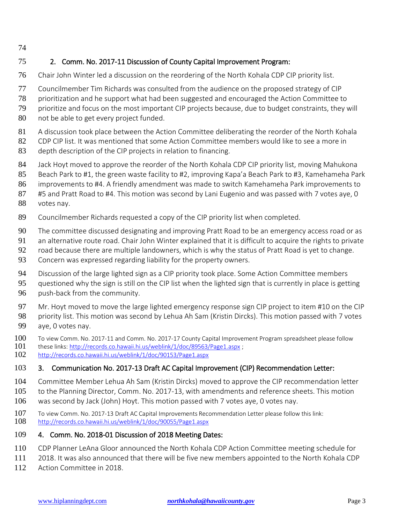# 2. Comm. No. 2017-11 Discussion of County Capital Improvement Program:

- Chair John Winter led a discussion on the reordering of the North Kohala CDP CIP priority list.
- Councilmember Tim Richards was consulted from the audience on the proposed strategy of CIP
- prioritization and he support what had been suggested and encouraged the Action Committee to
- prioritize and focus on the most important CIP projects because, due to budget constraints, they will
- not be able to get every project funded.
- A discussion took place between the Action Committee deliberating the reorder of the North Kohala
- CDP CIP list. It was mentioned that some Action Committee members would like to see a more in
- depth description of the CIP projects in relation to financing.
- Jack Hoyt moved to approve the reorder of the North Kohala CDP CIP priority list, moving Mahukona
- Beach Park to #1, the green waste facility to #2, improving Kapa'a Beach Park to #3, Kamehameha Park
- improvements to #4. A friendly amendment was made to switch Kamehameha Park improvements to
- #5 and Pratt Road to #4. This motion was second by Lani Eugenio and was passed with 7 votes aye, 0 votes nay.
- Councilmember Richards requested a copy of the CIP priority list when completed.
- The committee discussed designating and improving Pratt Road to be an emergency access road or as
- an alternative route road. Chair John Winter explained that it is difficult to acquire the rights to private
- road because there are multiple landowners, which is why the status of Pratt Road is yet to change.
- Concern was expressed regarding liability for the property owners.
- 94 Discussion of the large lighted sign as a CIP priority took place. Some Action Committee members
- questioned why the sign is still on the CIP list when the lighted sign that is currently in place is getting
- push-back from the community.
- Mr. Hoyt moved to move the large lighted emergency response sign CIP project to item #10 on the CIP
- 98 priority list. This motion was second by Lehua Ah Sam (Kristin Dircks). This motion passed with 7 votes aye, 0 votes nay.
- 100 To view Comm. No. 2017-11 and Comm. No. 2017-17 County Capital Improvement Program spreadsheet please follow<br>101 these links: http://records.co.hawaii.hi.us/weblink/1/doc/89563/Page1.aspx ;
- these links:<http://records.co.hawaii.hi.us/weblink/1/doc/89563/Page1.aspx> ;
- <http://records.co.hawaii.hi.us/weblink/1/doc/90153/Page1.aspx>

# 3. Communication No. 2017-13 Draft AC Capital Improvement (CIP) Recommendation Letter:

- Committee Member Lehua Ah Sam (Kristin Dircks) moved to approve the CIP recommendation letter
- to the Planning Director, Comm. No. 2017-13, with amendments and reference sheets. This motion
- was second by Jack (John) Hoyt. This motion passed with 7 votes aye, 0 votes nay.
- To view Comm. No. 2017-13 Draft AC Capital Improvements Recommendation Letter please follow this link: <http://records.co.hawaii.hi.us/weblink/1/doc/90055/Page1.aspx>

# 4. Comm. No. 2018-01 Discussion of 2018 Meeting Dates:

- CDP Planner LeAna Gloor announced the North Kohala CDP Action Committee meeting schedule for
- 2018. It was also announced that there will be five new members appointed to the North Kohala CDP
- Action Committee in 2018.